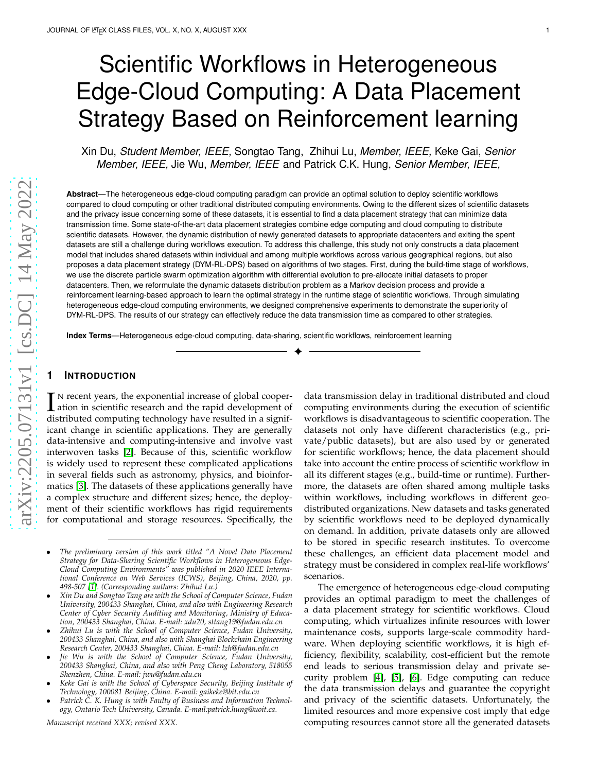# Scientific Workflows in Heterogeneous Edge-Cloud Computing: A Data Placement Strategy Based on Reinforcement learning

Xin Du, *Student Member, IEEE,* Songtao Tang, Zhihui Lu, *Member, IEEE,* Keke Gai, *Senior Member, IEEE,* Jie Wu, *Member, IEEE* and Patrick C.K. Hung, *Senior Member, IEEE,*

**Abstract**—The heterogeneous edge-cloud computing paradigm can provide an optimal solution to deploy scientific workflows compared to cloud computing or other traditional distributed computing environments. Owing to the different sizes of scientific datasets and the privacy issue concerning some of these datasets, it is essential to find a data placement strategy that can minimize data transmission time. Some state-of-the-art data placement strategies combine edge computing and cloud computing to distribute scientific datasets. However, the dynamic distribution of newly generated datasets to appropriate datacenters and exiting the spent datasets are still a challenge during workflows execution. To address this challenge, this study not only constructs a data placement model that includes shared datasets within individual and among multiple workflows across various geographical regions, but also proposes a data placement strategy (DYM-RL-DPS) based on algorithms of two stages. First, during the build-time stage of workflows, we use the discrete particle swarm optimization algorithm with differential evolution to pre-allocate initial datasets to proper datacenters. Then, we reformulate the dynamic datasets distribution problem as a Markov decision process and provide a reinforcement learning-based approach to learn the optimal strategy in the runtime stage of scientific workflows. Through simulating heterogeneous edge-cloud computing environments, we designed comprehensive experiments to demonstrate the superiority of DYM-RL-DPS. The results of our strategy can effectively reduce the data transmission time as compared to other strategies.

✦

**Index Terms**—Heterogeneous edge-cloud computing, data-sharing, scientific workflows, reinforcement learning

# **1 INTRODUCTION**

I N recent years, the exponential increase of global cooper-<br>ation in scientific research and the rapid development of<br>distributed computing technology have resulted in a cignifidistributed computing technology have resulted in a signif icant change in scientific applications. They are generally data-intensive and computing-intensive and involve vast interwoven tasks [\[2\]](#page-10-0). Because of this, scientific workflow is widely used to represent these complicated applications in several fields such as astronomy, physics, and bioinformatics [\[3\]](#page-10-1). The datasets of these applications generally have a complex structure and different sizes; hence, the deployment of their scientific workflows has rigid requirements for computational and storage resources. Specifically, the

- *Jie Wu is with the School of Computer Science, Fudan University, 200433 Shanghai, China, and also with Peng Cheng Laboratory, 518055 Shenzhen, China. E-mail: jwu@fudan.edu.cn*
- *Keke Gai is with the School of Cyberspace Security, Beijing Institute of Technology, 100081 Beijing, China. E-mail: gaikeke@bit.edu.cn*
- *Patrick C. K. Hung is with Faulty of Business and Information Technology, Ontario Tech University, Canada. E-mail:patrick.hung@uoit.ca.*

*Manuscript received XXX; revised XXX.*

data transmission delay in traditional distributed and cloud computing environments during the execution of scientific workflows is disadvantageous to scientific cooperation. The datasets not only have different characteristics (e.g., private/public datasets), but are also used by or generated for scientific workflows; hence, the data placement should take into account the entire process of scientific workflow in all its different stages (e.g., build-time or runtime). Furthermore, the datasets are often shared among multiple tasks within workflows, including workflows in different geodistributed organizations. New datasets and tasks generated by scientific workflows need to be deployed dynamically on demand. In addition, private datasets only are allowed to be stored in specific research institutes. To overcome these challenges, an efficient data placement model and strategy must be considered in complex real-life workflows' scenarios.

The emergence of heterogeneous edge-cloud computing provides an optimal paradigm to meet the challenges of a data placement strategy for scientific workflows. Cloud computing, which virtualizes infinite resources with lower maintenance costs, supports large-scale commodity hardware. When deploying scientific workflows, it is high efficiency, flexibility, scalability, cost-efficient but the remote end leads to serious transmission delay and private security problem [\[4\]](#page-10-3), [\[5\]](#page-10-4), [\[6\]](#page-10-5). Edge computing can reduce the data transmission delays and guarantee the copyright and privacy of the scientific datasets. Unfortunately, the limited resources and more expensive cost imply that edge computing resources cannot store all the generated dataset s

<sup>•</sup> *The preliminary version of this work titled "A Novel Data Placement Strategy for Data-Sharing Scientific Workflows in Heterogeneous Edge-Cloud Computing Environments" was published in 2020 IEEE International Conference on Web Services (ICWS), Beijing, China, 2020, pp. 498-507 [\[1\]](#page-10-2). (Corresponding authors: Zhihui Lu.)*

<sup>•</sup> *Xin Du and Songtao Tang are with the School of Computer Science, Fudan University, 200433 Shanghai, China, and also with Engineering Research Center of Cyber Security Auditing and Monitoring, Ministry of Education, 200433 Shanghai, China. E-mail: xdu20, sttang19@fudan.edu.cn*

<sup>•</sup> *Zhihui Lu is with the School of Computer Science, Fudan University, 200433 Shanghai, China, and also with Shanghai Blockchain Engineering Research Center, 200433 Shanghai, China. E-mail: lzh@fudan.edu.cn*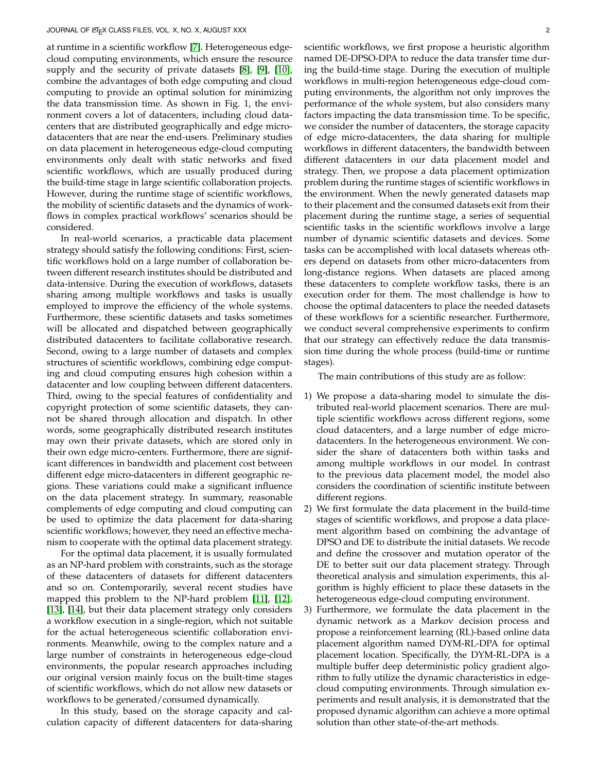at runtime in a scientific workflow [\[7\]](#page-11-0). Heterogeneous edgecloud computing environments, which ensure the resource supply and the security of private datasets [\[8\]](#page-11-1), [\[9\]](#page-11-2), [\[10\]](#page-11-3), combine the advantages of both edge computing and cloud computing to provide an optimal solution for minimizing the data transmission time. As shown in Fig. 1, the environment covers a lot of datacenters, including cloud datacenters that are distributed geographically and edge microdatacenters that are near the end-users. Preliminary studies on data placement in heterogeneous edge-cloud computing environments only dealt with static networks and fixed scientific workflows, which are usually produced during the build-time stage in large scientific collaboration projects. However, during the runtime stage of scientific workflows, the mobility of scientific datasets and the dynamics of workflows in complex practical workflows' scenarios should be considered.

In real-world scenarios, a practicable data placement strategy should satisfy the following conditions: First, scientific workflows hold on a large number of collaboration between different research institutes should be distributed and data-intensive. During the execution of workflows, datasets sharing among multiple workflows and tasks is usually employed to improve the efficiency of the whole systems. Furthermore, these scientific datasets and tasks sometimes will be allocated and dispatched between geographically distributed datacenters to facilitate collaborative research. Second, owing to a large number of datasets and complex structures of scientific workflows, combining edge computing and cloud computing ensures high cohesion within a datacenter and low coupling between different datacenters. Third, owing to the special features of confidentiality and copyright protection of some scientific datasets, they cannot be shared through allocation and dispatch. In other words, some geographically distributed research institutes may own their private datasets, which are stored only in their own edge micro-centers. Furthermore, there are significant differences in bandwidth and placement cost between different edge micro-datacenters in different geographic regions. These variations could make a significant influence on the data placement strategy. In summary, reasonable complements of edge computing and cloud computing can be used to optimize the data placement for data-sharing scientific workflows; however, they need an effective mechanism to cooperate with the optimal data placement strategy.

For the optimal data placement, it is usually formulated as an NP-hard problem with constraints, such as the storage of these datacenters of datasets for different datacenters and so on. Contemporarily, several recent studies have mapped this problem to the NP-hard problem [\[11\]](#page-11-4), [\[12\]](#page-11-5), [\[13\]](#page-11-6), [\[14\]](#page-11-7), but their data placement strategy only considers a workflow execution in a single-region, which not suitable for the actual heterogeneous scientific collaboration environments. Meanwhile, owing to the complex nature and a large number of constraints in heterogeneous edge-cloud environments, the popular research approaches including our original version mainly focus on the built-time stages of scientific workflows, which do not allow new datasets or workflows to be generated/consumed dynamically.

In this study, based on the storage capacity and calculation capacity of different datacenters for data-sharing

scientific workflows, we first propose a heuristic algorithm named DE-DPSO-DPA to reduce the data transfer time during the build-time stage. During the execution of multiple workflows in multi-region heterogeneous edge-cloud computing environments, the algorithm not only improves the performance of the whole system, but also considers many factors impacting the data transmission time. To be specific, we consider the number of datacenters, the storage capacity of edge micro-datacenters, the data sharing for multiple workflows in different datacenters, the bandwidth between different datacenters in our data placement model and strategy. Then, we propose a data placement optimization problem during the runtime stages of scientific workflows in the environment. When the newly generated datasets map to their placement and the consumed datasets exit from their placement during the runtime stage, a series of sequential scientific tasks in the scientific workflows involve a large number of dynamic scientific datasets and devices. Some tasks can be accomplished with local datasets whereas others depend on datasets from other micro-datacenters from long-distance regions. When datasets are placed among these datacenters to complete workflow tasks, there is an execution order for them. The most challendge is how to choose the optimal datacenters to place the needed datasets of these workflows for a scientific researcher. Furthermore, we conduct several comprehensive experiments to confirm that our strategy can effectively reduce the data transmission time during the whole process (build-time or runtime stages).

The main contributions of this study are as follow:

- 1) We propose a data-sharing model to simulate the distributed real-world placement scenarios. There are multiple scientific workflows across different regions, some cloud datacenters, and a large number of edge microdatacenters. In the heterogeneous environment. We consider the share of datacenters both within tasks and among multiple workflows in our model. In contrast to the previous data placement model, the model also considers the coordination of scientific institute between different regions.
- 2) We first formulate the data placement in the build-time stages of scientific workflows, and propose a data placement algorithm based on combining the advantage of DPSO and DE to distribute the initial datasets. We recode and define the crossover and mutation operator of the DE to better suit our data placement strategy. Through theoretical analysis and simulation experiments, this algorithm is highly efficient to place these datasets in the heterogeneous edge-cloud computing environment.
- 3) Furthermore, we formulate the data placement in the dynamic network as a Markov decision process and propose a reinforcement learning (RL)-based online data placement algorithm named DYM-RL-DPA for optimal placement location. Specifically, the DYM-RL-DPA is a multiple buffer deep deterministic policy gradient algorithm to fully utilize the dynamic characteristics in edgecloud computing environments. Through simulation experiments and result analysis, it is demonstrated that the proposed dynamic algorithm can achieve a more optimal solution than other state-of-the-art methods.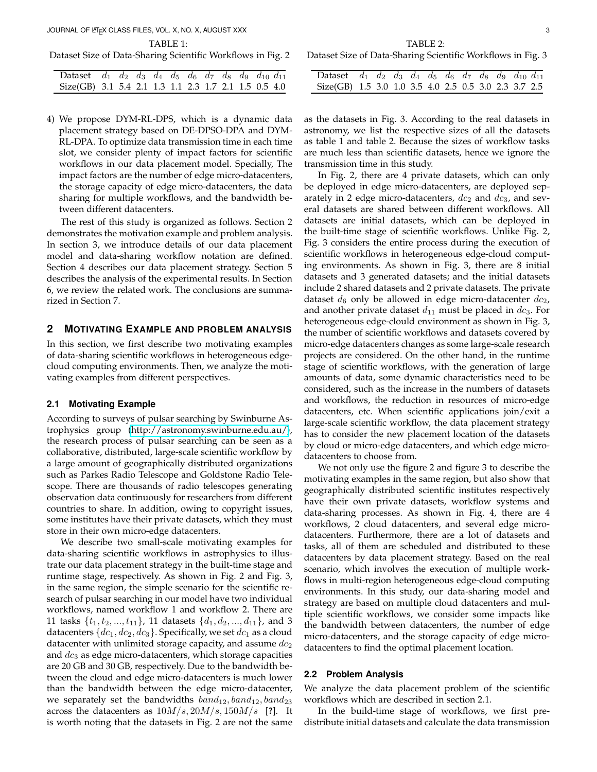JOURNAL OF LATEX CLASS FILES, VOL. X, NO. X, AUGUST XXX 3

TABLE 1:

Dataset Size of Data-Sharing Scientific Workflows in Fig. 2

| Dataset $d_1$ $d_2$ $d_3$ $d_4$ $d_5$ $d_6$ $d_7$ $d_8$ $d_9$ $d_{10}$ $d_{11}$ |  |  |  |  |  |  |
|---------------------------------------------------------------------------------|--|--|--|--|--|--|
| Size(GB) 3.1 5.4 2.1 1.3 1.1 2.3 1.7 2.1 1.5 0.5 4.0                            |  |  |  |  |  |  |

4) We propose DYM-RL-DPS, which is a dynamic data placement strategy based on DE-DPSO-DPA and DYM-RL-DPA. To optimize data transmission time in each time slot, we consider plenty of impact factors for scientific workflows in our data placement model. Specially, The impact factors are the number of edge micro-datacenters, the storage capacity of edge micro-datacenters, the data sharing for multiple workflows, and the bandwidth between different datacenters.

The rest of this study is organized as follows. Section 2 demonstrates the motivation example and problem analysis. In section 3, we introduce details of our data placement model and data-sharing workflow notation are defined. Section 4 describes our data placement strategy. Section 5 describes the analysis of the experimental results. In Section 6, we review the related work. The conclusions are summarized in Section 7.

# **2 MOTIVATING EXAMPLE AND PROBLEM ANALYSIS**

In this section, we first describe two motivating examples of data-sharing scientific workflows in heterogeneous edgecloud computing environments. Then, we analyze the motivating examples from different perspectives.

#### **2.1 Motivating Example**

According to surveys of pulsar searching by Swinburne Astrophysics group [\(http://astronomy.swinburne.edu.au/\)](http://astronomy.swinburne.edu.au/), the research process of pulsar searching can be seen as a collaborative, distributed, large-scale scientific workflow by a large amount of geographically distributed organizations such as Parkes Radio Telescope and Goldstone Radio Telescope. There are thousands of radio telescopes generating observation data continuously for researchers from different countries to share. In addition, owing to copyright issues, some institutes have their private datasets, which they must store in their own micro-edge datacenters.

We describe two small-scale motivating examples for data-sharing scientific workflows in astrophysics to illustrate our data placement strategy in the built-time stage and runtime stage, respectively. As shown in Fig. 2 and Fig. 3, in the same region, the simple scenario for the scientific research of pulsar searching in our model have two individual workflows, named workflow 1 and workflow 2. There are 11 tasks  $\{t_1, t_2, ..., t_{11}\}$ , 11 datasets  $\{d_1, d_2, ..., d_{11}\}$ , and 3 datacenters  $\{dc_1,dc_2,dc_3\}$ . Specifically, we set  $dc_1$  as a cloud datacenter with unlimited storage capacity, and assume  $dc_2$ and  $dc_3$  as edge micro-datacenters, which storage capacities are 20 GB and 30 GB, respectively. Due to the bandwidth between the cloud and edge micro-datacenters is much lower than the bandwidth between the edge micro-datacenter, we separately set the bandwidths  $band_{12}$ ,  $band_{12}$ ,  $band_{23}$ across the datacenters as 10M/s, 20M/s, 150M/s [**?**]. It is worth noting that the datasets in Fig. 2 are not the same

TABLE 2:

Dataset Size of Data-Sharing Scientific Workflows in Fig. 3

| Dataset $d_1$ $d_2$ $d_3$ $d_4$ $d_5$ $d_6$ $d_7$ $d_8$ $d_9$ $d_{10}$ $d_{11}$ |  |  |  |  |  |  |
|---------------------------------------------------------------------------------|--|--|--|--|--|--|
| Size(GB) 1.5 3.0 1.0 3.5 4.0 2.5 0.5 3.0 2.3 3.7 2.5                            |  |  |  |  |  |  |

as the datasets in Fig. 3. According to the real datasets in astronomy, we list the respective sizes of all the datasets as table 1 and table 2. Because the sizes of workflow tasks are much less than scientific datasets, hence we ignore the transmission time in this study.

In Fig. 2, there are 4 private datasets, which can only be deployed in edge micro-datacenters, are deployed separately in 2 edge micro-datacenters,  $dc_2$  and  $dc_3$ , and several datasets are shared between different workflows. All datasets are initial datasets, which can be deployed in the built-time stage of scientific workflows. Unlike Fig. 2, Fig. 3 considers the entire process during the execution of scientific workflows in heterogeneous edge-cloud computing environments. As shown in Fig. 3, there are 8 initial datasets and 3 generated datasets; and the initial datasets include 2 shared datasets and 2 private datasets. The private dataset  $d_6$  only be allowed in edge micro-datacenter  $dc_2$ , and another private dataset  $d_{11}$  must be placed in  $dc_3$ . For heterogeneous edge-clould environment as shown in Fig. 3, the number of scientific workflows and datasets covered by micro-edge datacenters changes as some large-scale research projects are considered. On the other hand, in the runtime stage of scientific workflows, with the generation of large amounts of data, some dynamic characteristics need to be considered, such as the increase in the numbers of datasets and workflows, the reduction in resources of micro-edge datacenters, etc. When scientific applications join/exit a large-scale scientific workflow, the data placement strategy has to consider the new placement location of the datasets by cloud or micro-edge datacenters, and which edge microdatacenters to choose from.

We not only use the figure 2 and figure 3 to describe the motivating examples in the same region, but also show that geographically distributed scientific institutes respectively have their own private datasets, workflow systems and data-sharing processes. As shown in Fig. 4, there are 4 workflows, 2 cloud datacenters, and several edge microdatacenters. Furthermore, there are a lot of datasets and tasks, all of them are scheduled and distributed to these datacenters by data placement strategy. Based on the real scenario, which involves the execution of multiple workflows in multi-region heterogeneous edge-cloud computing environments. In this study, our data-sharing model and strategy are based on multiple cloud datacenters and multiple scientific workflows, we consider some impacts like the bandwidth between datacenters, the number of edge micro-datacenters, and the storage capacity of edge microdatacenters to find the optimal placement location.

#### **2.2 Problem Analysis**

We analyze the data placement problem of the scientific workflows which are described in section 2.1.

In the build-time stage of workflows, we first predistribute initial datasets and calculate the data transmission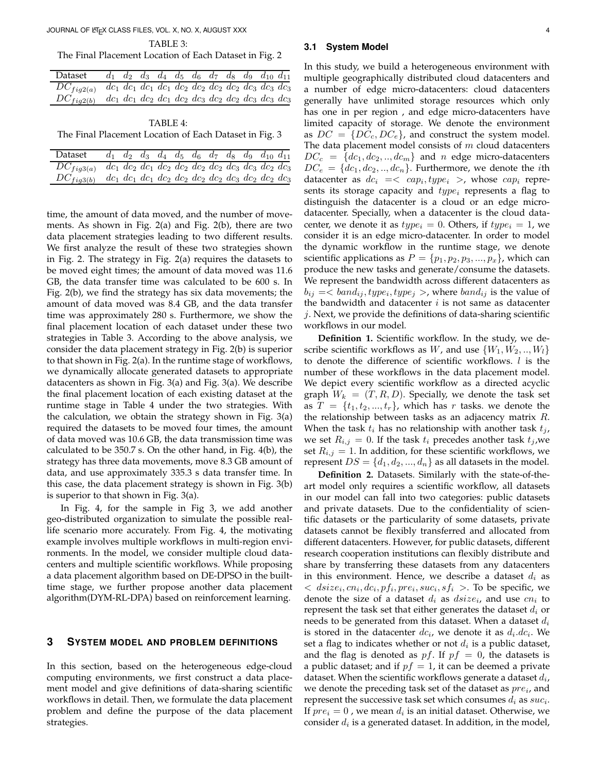# JOURNAL OF LATEX CLASS FILES, VOL. X, NO. X, AUGUST XXX 4

TABLE 3:

The Final Placement Location of Each Dataset in Fig. 2

| Dataset        | $d_1$ $d_2$ $d_3$ $d_4$ $d_5$ $d_6$ $d_7$ $d_8$ $d_9$ $d_{10}$ $d_{11}$      |  |  |  |  |  |
|----------------|------------------------------------------------------------------------------|--|--|--|--|--|
| $DC_{fig2(a)}$ | $dc_1$ $dc_1$ $dc_1$ $dc_1$ $dc_2$ $dc_2$ $dc_2$ $dc_2$ $dc_3$ $dc_3$ $dc_3$ |  |  |  |  |  |
| $DC_{fiq2(b)}$ | $dc_1$ $dc_1$ $dc_2$ $dc_1$ $dc_2$ $dc_3$ $dc_2$ $dc_2$ $dc_3$ $dc_3$ $dc_3$ |  |  |  |  |  |

TABLE 4: The Final Placement Location of Each Dataset in Fig. 3

| Dataset        |                                                                              |  |  |  | $d_2$ $d_3$ $d_4$ $d_5$ $d_6$ $d_7$ $d_8$ $d_9$ $d_{10}$ $d_{11}$ |  |
|----------------|------------------------------------------------------------------------------|--|--|--|-------------------------------------------------------------------|--|
| $DC_{fig3(a)}$ | $dc_1$ $dc_2$ $dc_1$ $dc_2$ $dc_2$ $dc_2$ $dc_2$ $dc_3$ $dc_3$ $dc_2$ $dc_3$ |  |  |  |                                                                   |  |
| $DC_{fig3(b)}$ | $dc_1 dc_1 dc_1 dc_2 dc_2 dc_2 dc_2 dc_3 dc_3 dc_2 dc_2 dc_3$                |  |  |  |                                                                   |  |

time, the amount of data moved, and the number of movements. As shown in Fig. 2(a) and Fig. 2(b), there are two data placement strategies leading to two different results. We first analyze the result of these two strategies shown in Fig. 2. The strategy in Fig. 2(a) requires the datasets to be moved eight times; the amount of data moved was 11.6 GB, the data transfer time was calculated to be 600 s. In Fig. 2(b), we find the strategy has six data movements; the amount of data moved was 8.4 GB, and the data transfer time was approximately 280 s. Furthermore, we show the final placement location of each dataset under these two strategies in Table 3. According to the above analysis, we consider the data placement strategy in Fig. 2(b) is superior to that shown in Fig. 2(a). In the runtime stage of workflows, we dynamically allocate generated datasets to appropriate datacenters as shown in Fig. 3(a) and Fig. 3(a). We describe the final placement location of each existing dataset at the runtime stage in Table 4 under the two strategies. With the calculation, we obtain the strategy shown in Fig. 3(a) required the datasets to be moved four times, the amount of data moved was 10.6 GB, the data transmission time was calculated to be 350.7 s. On the other hand, in Fig. 4(b), the strategy has three data movements, move 8.3 GB amount of data, and use approximately 335.3 s data transfer time. In this case, the data placement strategy is shown in Fig. 3(b) is superior to that shown in Fig. 3(a).

In Fig. 4, for the sample in Fig 3, we add another geo-distributed organization to simulate the possible reallife scenario more accurately. From Fig. 4, the motivating example involves multiple workflows in multi-region environments. In the model, we consider multiple cloud datacenters and multiple scientific workflows. While proposing a data placement algorithm based on DE-DPSO in the builttime stage, we further propose another data placement algorithm(DYM-RL-DPA) based on reinforcement learning.

# **3 SYSTEM MODEL AND PROBLEM DEFINITIONS**

In this section, based on the heterogeneous edge-cloud computing environments, we first construct a data placement model and give definitions of data-sharing scientific workflows in detail. Then, we formulate the data placement problem and define the purpose of the data placement strategies.

#### **3.1 System Model**

In this study, we build a heterogeneous environment with multiple geographically distributed cloud datacenters and a number of edge micro-datacenters: cloud datacenters generally have unlimited storage resources which only has one in per region , and edge micro-datacenters have limited capacity of storage. We denote the environment as  $DC = \{DC_c, DC_e\}$ , and construct the system model. The data placement model consists of  $m$  cloud datacenters  $DC_c = \{dc_1, dc_2, ..., dc_m\}$  and n edge micro-datacenters  $DC_e = \{dc_1, dc_2, ..., dc_n\}$ . Furthermore, we denote the *i*th datacenter as  $dc_i =$ , whose  $cap_i$  represents its storage capacity and  $type_i$  represents a flag to distinguish the datacenter is a cloud or an edge microdatacenter. Specially, when a datacenter is the cloud datacenter, we denote it as  $type_i = 0$ . Others, if  $type_i = 1$ , we consider it is an edge micro-datacenter. In order to model the dynamic workflow in the runtime stage, we denote scientific applications as  $P = \{p_1, p_2, p_3, ..., p_x\}$ , which can produce the new tasks and generate/consume the datasets. We represent the bandwidth across different datacenters as  $b_{ij} = **band<sub>ij</sub>, type<sub>i</sub>, type<sub>j</sub> >**$ , where  $band<sub>ij</sub>$  is the value of the bandwidth and datacenter  $i$  is not same as datacenter  $j$ . Next, we provide the definitions of data-sharing scientific workflows in our model.

**Definition 1.** Scientific workflow. In the study, we describe scientific workflows as W, and use  $\{W_1, W_2, ..., W_l\}$ to denote the difference of scientific workflows.  $l$  is the number of these workflows in the data placement model. We depict every scientific workflow as a directed acyclic graph  $W_k = (T, R, D)$ . Specially, we denote the task set as  $T = \{t_1, t_2, ..., t_r\}$ , which has r tasks. we denote the the relationship between tasks as an adjacency matrix  $R$ . When the task  $t_i$  has no relationship with another task  $t_j$ , we set  $R_{i,j} = 0$ . If the task  $t_i$  precedes another task  $t_j$ , we set  $R_{i,j} = 1$ . In addition, for these scientific workflows, we represent  $DS = \{d_1, d_2, ..., d_n\}$  as all datasets in the model.

**Definition 2.** Datasets. Similarly with the state-of-theart model only requires a scientific workflow, all datasets in our model can fall into two categories: public datasets and private datasets. Due to the confidentiality of scientific datasets or the particularity of some datasets, private datasets cannot be flexibly transferred and allocated from different datacenters. However, for public datasets, different research cooperation institutions can flexibly distribute and share by transferring these datasets from any datacenters in this environment. Hence, we describe a dataset  $d_i$  as  $\langle \; \; \textit{disice}_i, \textit{cn}_i, \textit{dc}_i, \textit{pf}_i, \textit{pre}_i, \textit{suc}_i, \textit{sf}_i \; \rangle$ . To be specific, we denote the size of a dataset  $d_i$  as  $disize_i$ , and use  $cn_i$  to represent the task set that either generates the dataset  $d_i$  or needs to be generated from this dataset. When a dataset  $d_i$ is stored in the datacenter  $dc_i$ , we denote it as  $d_i.dc_i$ . We set a flag to indicates whether or not  $d_i$  is a public dataset, and the flag is denoted as pf. If  $pf = 0$ , the datasets is a public dataset; and if  $pf = 1$ , it can be deemed a private dataset. When the scientific workflows generate a dataset  $d_i$ , we denote the preceding task set of the dataset as  $pre_i$ , and represent the successive task set which consumes  $d_i$  as  $\mathit{suc}_i.$ If  $pre_i = 0$  , we mean  $d_i$  is an initial dataset. Otherwise, we consider  $d_i$  is a generated dataset. In addition, in the model,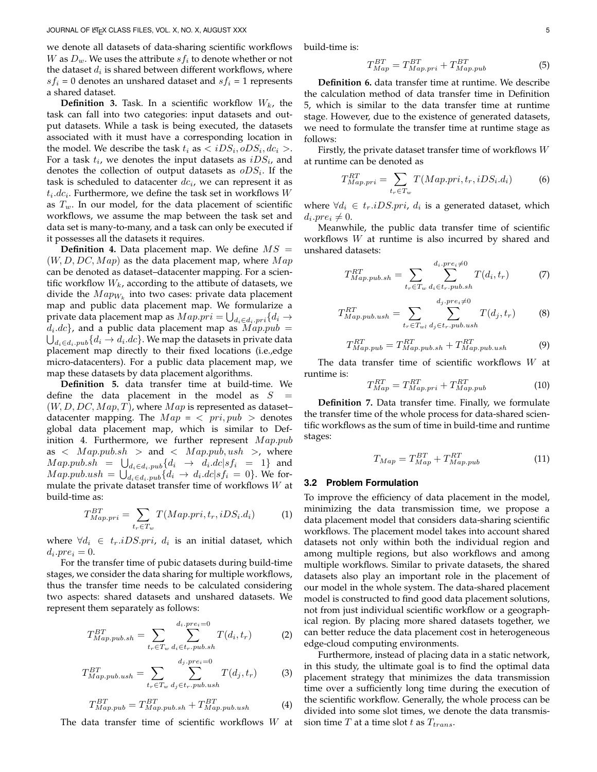we denote all datasets of data-sharing scientific workflows W as  $D_w$ . We uses the attribute  $s f_i$  to denote whether or not the dataset  $d_i$  is shared between different workflows, where  $s f_i = 0$  denotes an unshared dataset and  $s f_i = 1$  represents a shared dataset.

**Definition 3.** Task. In a scientific workflow  $W_k$ , the task can fall into two categories: input datasets and output datasets. While a task is being executed, the datasets associated with it must have a corresponding location in the model. We describe the task  $t_i$  as  $\langle iDS_i, oDS_i, dc_i \rangle$ . For a task  $t_i$ , we denotes the input datasets as  $iDS_i$ , and denotes the collection of output datasets as  $oDS_i$ . If the task is scheduled to datacenter  $dc_i$ , we can represent it as  $t_i.dc_i$ . Furthermore, we define the task set in workflows  $W$ as  $T_w$ . In our model, for the data placement of scientific workflows, we assume the map between the task set and data set is many-to-many, and a task can only be executed if it possesses all the datasets it requires.

**Definition 4.** Data placement map. We define  $MS =$  $(W, D, DC, Map)$  as the data placement map, where  $Map$ can be denoted as dataset–datacenter mapping. For a scientific workflow  $W_k$ , according to the attibute of datasets, we divide the  $Map_{W_k}$  into two cases: private data placement map and public data placement map. We formularize a private data placement map as  $Map. {pri} = \bigcup_{d_i \in d_i. {pri}} \{d_i \rightarrow$  $d_i.dc$ , and a public data placement map as  $Map.pub =$ <br> $\bigcup_{i \in \mathcal{A}} \dots \bigcup_{i \in \mathcal{A}} d_i \rightarrow d_i.dc$ . We map the datasets in private data  $_{d_i \in d_i.\textit{pub}}\{d_i \rightarrow d_i.dc\}.$  We map the datasets in private data placement map directly to their fixed locations (i.e.,edge micro-datacenters). For a public data placement map, we map these datasets by data placement algorithms.

**Definition 5.** data transfer time at build-time. We define the data placement in the model as  $S =$  $(W, D, DC, Map, T)$ , where  $Map$  is represented as datasetdatacenter mapping. The  $Map = \langle pri, pub \rangle$  denotes global data placement map, which is similar to Definition 4. Furthermore, we further represent  $Map. pub$ as  $\langle Map.pub.sh \rangle$  and  $\langle Map.pub, ush \rangle$ , where  $Map.pub.sh = \bigcup_{d_i \in d_i.pub} \{d_i \rightarrow d_i.dc | sf_i = 1\}$  and  $Map.pub.ush = \bigcup_{d_i \in d_i.pub} d_i \rightarrow d_i.dc|sf_i = 0$ . We formulate the private dataset transfer time of workflows  $W$  at build-time as:

$$
T_{Map,pri}^{BT} = \sum_{t_r \in T_w} T(Map,pri, t_r, iDS_i.d_i)
$$
 (1)

where  $\forall d_i \in t_r.iDS.pr_i, d_i$  is an initial dataset, which  $d_i.pre_i=0.$ 

For the transfer time of pubic datasets during build-time stages, we consider the data sharing for multiple workflows, thus the transfer time needs to be calculated considering two aspects: shared datasets and unshared datasets. We represent them separately as follows:

$$
T_{Map.pub.sh}^{BT} = \sum_{t_r \in T_w} \sum_{d_i \in t_r. pub.sh}^{d_i. pre_i = 0} T(d_i, t_r)
$$
 (2)

$$
T_{Map.pub.ush}^{BT} = \sum_{t_r \in T_w} \sum_{d_j \in t_r. pub.ush}^{d_j. pre_i = 0} T(d_j, t_r)
$$
 (3)

$$
T_{Map, pub}^{BT} = T_{Map,pub.sh}^{BT} + T_{Map,pub.ush}^{BT}
$$
 (4)

The data transfer time of scientific workflows W at

build-time is:

$$
T_{Map}^{BT} = T_{Map,pri}^{BT} + T_{Map,pub}^{BT}
$$
 (5)

**Definition 6.** data transfer time at runtime. We describe the calculation method of data transfer time in Definition 5, which is similar to the data transfer time at runtime stage. However, due to the existence of generated datasets, we need to formulate the transfer time at runtime stage as follows:

Firstly, the private dataset transfer time of workflows  $W$ at runtime can be denoted as

$$
T_{Map,pri}^{RT} = \sum_{t_r \in T_w} T(Map,pri, t_r, iDS_i.d_i)
$$
 (6)

where  $\forall d_i \in t_r.iDS.print, d_i$  is a generated dataset, which di .pre<sup>i</sup> 6= 0.

Meanwhile, the public data transfer time of scientific workflows W at runtime is also incurred by shared and unshared datasets:

$$
T_{Map.pub.sh}^{RT} = \sum_{t_r \in T_w} \sum_{d_i \in t_r. pub.sh}^{d_i. pre_i \neq 0} T(d_i, t_r)
$$
 (7)

$$
T_{Map.pub.ush}^{RT} = \sum_{t_r \in T_{wl}} \sum_{d_j \in t_r. pub.ush}^{d_j. pre_i \neq 0} T(d_j, t_r)
$$
 (8)

$$
T_{Map,pub}^{RT} = T_{Map,pub.sh}^{RT} + T_{Map,pub.ush}^{RT}
$$
 (9)

The data transfer time of scientific workflows  $W$  at runtime is:

$$
T_{Map}^{RT} = T_{Map,pri}^{RT} + T_{Map,pub}^{RT}
$$
 (10)

**Definition 7.** Data transfer time. Finally, we formulate the transfer time of the whole process for data-shared scientific workflows as the sum of time in build-time and runtime stages:

$$
T_{Map} = T_{Map}^{BT} + T_{Map,pub}^{RT}
$$
 (11)

#### **3.2 Problem Formulation**

To improve the efficiency of data placement in the model, minimizing the data transmission time, we propose a data placement model that considers data-sharing scientific workflows. The placement model takes into account shared datasets not only within both the individual region and among multiple regions, but also workflows and among multiple workflows. Similar to private datasets, the shared datasets also play an important role in the placement of our model in the whole system. The data-shared placement model is constructed to find good data placement solutions, not from just individual scientific workflow or a geographical region. By placing more shared datasets together, we can better reduce the data placement cost in heterogeneous edge-cloud computing environments.

Furthermore, instead of placing data in a static network, in this study, the ultimate goal is to find the optimal data placement strategy that minimizes the data transmission time over a sufficiently long time during the execution of the scientific workflow. Generally, the whole process can be divided into some slot times, we denote the data transmission time  $T$  at a time slot  $t$  as  $T_{trans}$ .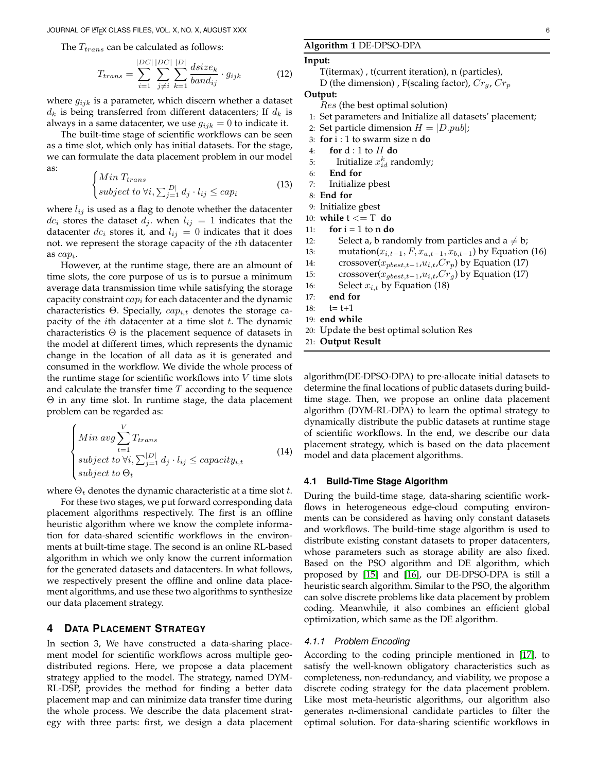The  $T_{trans}$  can be calculated as follows:

$$
T_{trans} = \sum_{i=1}^{|DC|} \sum_{j \neq i}^{|DC|} \sum_{k=1}^{|D|} \frac{disize_k}{band_{ij}} \cdot g_{ijk} \tag{12}
$$

where  $g_{ijk}$  is a parameter, which discern whether a dataset  $d_k$  is being transferred from different datacenters; If  $d_k$  is always in a same datacenter, we use  $g_{ijk} = 0$  to indicate it.

The built-time stage of scientific workflows can be seen as a time slot, which only has initial datasets. For the stage, we can formulate the data placement problem in our model as:

$$
\begin{cases}\nMin\,T_{trans} \\
subject\, to\,\forall i,\sum_{j=1}^{|D|} d_j \cdot l_{ij} \le cap_i\n\end{cases} \tag{13}
$$

where  $l_{ij}$  is used as a flag to denote whether the datacenter  $dc_i$  stores the dataset  $d_j$ . when  $l_{ij} = 1$  indicates that the datacenter  $dc_i$  stores it, and  $l_{ij} = 0$  indicates that it does not. we represent the storage capacity of the ith datacenter as  $cap_i$ .

However, at the runtime stage, there are an almount of time slots, the core purpose of us is to pursue a minimum average data transmission time while satisfying the storage capacity constraint  $cap_i$  for each datacenter and the dynamic characteristics Θ. Specially,  $cap_{i,t}$  denotes the storage capacity of the *i*th datacenter at a time slot  $t$ . The dynamic characteristics  $\Theta$  is the placement sequence of datasets in the model at different times, which represents the dynamic change in the location of all data as it is generated and consumed in the workflow. We divide the whole process of the runtime stage for scientific workflows into  $V$  time slots and calculate the transfer time  $T$  according to the sequence Θ in any time slot. In runtime stage, the data placement problem can be regarded as:

$$
\begin{cases}\nMin \, avg \sum_{t=1}^{V} T_{trans} \\
subject \, to \,\forall i, \sum_{j=1}^{|D|} d_j \cdot l_{ij} \le capacity_{i,t} \\
subject \, to \, \Theta_t\n\end{cases} \tag{14}
$$

where  $\Theta_t$  denotes the dynamic characteristic at a time slot t.

For these two stages, we put forward corresponding data placement algorithms respectively. The first is an offline heuristic algorithm where we know the complete information for data-shared scientific workflows in the environments at built-time stage. The second is an online RL-based algorithm in which we only know the current information for the generated datasets and datacenters. In what follows, we respectively present the offline and online data placement algorithms, and use these two algorithms to synthesize our data placement strategy.

# **4 DATA PLACEMENT STRATEGY**

In section 3, We have constructed a data-sharing placement model for scientific workflows across multiple geodistributed regions. Here, we propose a data placement strategy applied to the model. The strategy, named DYM-RL-DSP, provides the method for finding a better data placement map and can minimize data transfer time during the whole process. We describe the data placement strategy with three parts: first, we design a data placement

#### **Algorithm 1** DE-DPSO-DPA

#### **Input:**

T(itermax) , t(current iteration), n (particles),

D (the dimension), F(scaling factor),  $Cr_g$ ,  $Cr_p$ 

**Output:**

Res (the best optimal solution)

```
1: Set parameters and Initialize all datasets' placement;
```
- 2: Set particle dimension  $H = |D.pub|$ ;
- 3: **for** i : 1 to swarm size n **do**
- 4: **for** d : 1 to H **do**
- 5: Initialize  $x_{id}^k$  randomly;
- 6: **End for**
- 7: Initialize pbest
- 8: **End for**
- 9: Initialize gbest

```
10: while t <= T do
```
- 11: **for**  $i = 1$  to n **do**
- 12: Select a, b randomly from particles and  $a \neq b$ ;
- 13: mutation( $x_{i,t-1}, F, x_{a,t-1}, x_{b,t-1}$ ) by Equation (16)
- 14: crossover( $x_{pbest,t-1}, u_{i,t}, Cr_p$ ) by Equation (17)
- 15: crossover( $x_{gbest,t-1}$ , $u_{i,t}$ , $Cr_g$ ) by Equation (17)
- 16: Select  $x_{i,t}$  by Equation (18)
- 17: **end for**
- 18:  $t = t + 1$
- 19: **end while**
- 20: Update the best optimal solution Res
- 21: **Output Result**

algorithm(DE-DPSO-DPA) to pre-allocate initial datasets to determine the final locations of public datasets during buildtime stage. Then, we propose an online data placement algorithm (DYM-RL-DPA) to learn the optimal strategy to dynamically distribute the public datasets at runtime stage of scientific workflows. In the end, we describe our data placement strategy, which is based on the data placement model and data placement algorithms.

# **4.1 Build-Time Stage Algorithm**

During the build-time stage, data-sharing scientific workflows in heterogeneous edge-cloud computing environments can be considered as having only constant datasets and workflows. The build-time stage algorithm is used to distribute existing constant datasets to proper datacenters, whose parameters such as storage ability are also fixed. Based on the PSO algorithm and DE algorithm, which proposed by [\[15\]](#page-11-8) and [\[16\]](#page-11-9), our DE-DPSO-DPA is still a heuristic search algorithm. Similar to the PSO, the algorithm can solve discrete problems like data placement by problem coding. Meanwhile, it also combines an efficient global optimization, which same as the DE algorithm.

#### *4.1.1 Problem Encoding*

According to the coding principle mentioned in [\[17\]](#page-11-10), to satisfy the well-known obligatory characteristics such as completeness, non-redundancy, and viability, we propose a discrete coding strategy for the data placement problem. Like most meta-heuristic algorithms, our algorithm also generates n-dimensional candidate particles to filter the optimal solution. For data-sharing scientific workflows in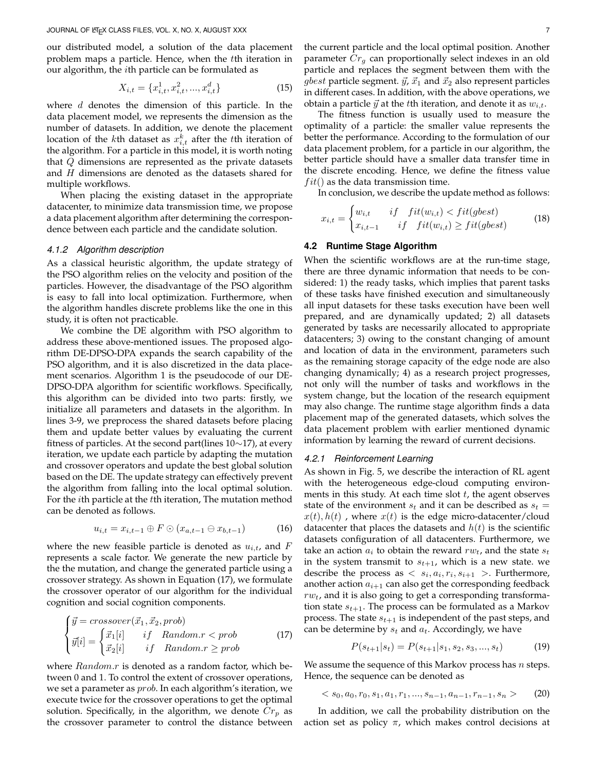our distributed model, a solution of the data placement problem maps a particle. Hence, when the tth iteration in our algorithm, the ith particle can be formulated as

$$
X_{i,t} = \{x_{i,t}^1, x_{i,t}^2, ..., x_{i,t}^d\}
$$
 (15)

where  $d$  denotes the dimension of this particle. In the data placement model, we represents the dimension as the number of datasets. In addition, we denote the placement location of the *k*th dataset as  $x_{i,t}^k$  after the *t*th iteration of the algorithm. For a particle in this model, it is worth noting that Q dimensions are represented as the private datasets and H dimensions are denoted as the datasets shared for multiple workflows.

When placing the existing dataset in the appropriate datacenter, to minimize data transmission time, we propose a data placement algorithm after determining the correspondence between each particle and the candidate solution.

# *4.1.2 Algorithm description*

As a classical heuristic algorithm, the update strategy of the PSO algorithm relies on the velocity and position of the particles. However, the disadvantage of the PSO algorithm is easy to fall into local optimization. Furthermore, when the algorithm handles discrete problems like the one in this study, it is often not practicable.

We combine the DE algorithm with PSO algorithm to address these above-mentioned issues. The proposed algorithm DE-DPSO-DPA expands the search capability of the PSO algorithm, and it is also discretized in the data placement scenarios. Algorithm 1 is the pseudocode of our DE-DPSO-DPA algorithm for scientific workflows. Specifically, this algorithm can be divided into two parts: firstly, we initialize all parameters and datasets in the algorithm. In lines 3-9, we preprocess the shared datasets before placing them and update better values by evaluating the current fitness of particles. At the second part(lines 10∼17), at every iteration, we update each particle by adapting the mutation and crossover operators and update the best global solution based on the DE. The update strategy can effectively prevent the algorithm from falling into the local optimal solution. For the ith particle at the tth iteration, The mutation method can be denoted as follows.

$$
u_{i,t} = x_{i,t-1} \oplus F \odot (x_{a,t-1} \ominus x_{b,t-1}) \tag{16}
$$

where the new feasible particle is denoted as  $u_{i,t}$ , and F represents a scale factor. We generate the new particle by the the mutation, and change the generated particle using a crossover strategy. As shown in Equation (17), we formulate the crossover operator of our algorithm for the individual cognition and social cognition components.

$$
\begin{cases}\n\vec{y} = crossover(\vec{x}_1, \vec{x}_2, prob) \\
\vec{y}[i] = \begin{cases}\n\vec{x}_1[i] & if \quad Random.r < prob \\
\vec{x}_2[i] & if \quad Random.r \geq prob\n\end{cases}\n\end{cases} \tag{17}
$$

where *Random.r* is denoted as a random factor, which between 0 and 1. To control the extent of crossover operations, we set a parameter as *prob*. In each algorithm's iteration, we execute twice for the crossover operations to get the optimal solution. Specifically, in the algorithm, we denote  $Cr_p$  as the crossover parameter to control the distance between

the current particle and the local optimal position. Another parameter  $Cr_q$  can proportionally select indexes in an old particle and replaces the segment between them with the *gbest* particle segment.  $\vec{y}$ ,  $\vec{x}_1$  and  $\vec{x}_2$  also represent particles in different cases. In addition, with the above operations, we obtain a particle  $\vec{y}$  at the tth iteration, and denote it as  $w_{i,t}$ .

The fitness function is usually used to measure the optimality of a particle: the smaller value represents the better the performance. According to the formulation of our data placement problem, for a particle in our algorithm, the better particle should have a smaller data transfer time in the discrete encoding. Hence, we define the fitness value  $fit()$  as the data transmission time.

In conclusion, we describe the update method as follows:

$$
x_{i,t} = \begin{cases} w_{i,t} & if \quad fit(w_{i,t}) < fit(gbest) \\ x_{i,t-1} & if \quad fit(w_{i,t}) \ge fit(gbest) \end{cases}
$$
 (18)

#### **4.2 Runtime Stage Algorithm**

When the scientific workflows are at the run-time stage, there are three dynamic information that needs to be considered: 1) the ready tasks, which implies that parent tasks of these tasks have finished execution and simultaneously all input datasets for these tasks execution have been well prepared, and are dynamically updated; 2) all datasets generated by tasks are necessarily allocated to appropriate datacenters; 3) owing to the constant changing of amount and location of data in the environment, parameters such as the remaining storage capacity of the edge node are also changing dynamically; 4) as a research project progresses, not only will the number of tasks and workflows in the system change, but the location of the research equipment may also change. The runtime stage algorithm finds a data placement map of the generated datasets, which solves the data placement problem with earlier mentioned dynamic information by learning the reward of current decisions.

#### *4.2.1 Reinforcement Learning*

As shown in Fig. 5, we describe the interaction of RL agent with the heterogeneous edge-cloud computing environments in this study. At each time slot  $t$ , the agent observes state of the environment  $s_t$  and it can be described as  $s_t =$  $x(t)$ ,  $h(t)$ , where  $x(t)$  is the edge micro-datacenter/cloud datacenter that places the datasets and  $h(t)$  is the scientific datasets configuration of all datacenters. Furthermore, we take an action  $a_i$  to obtain the reward  $rw_t$ , and the state  $s_t$ in the system transmit to  $s_{t+1}$ , which is a new state. we describe the process as  $\langle s_i, a_i, r_i, s_{i+1} \rangle$ . Furthermore, another action  $a_{i+1}$  can also get the corresponding feedback  $rw_t$ , and it is also going to get a corresponding transformation state  $s_{t+1}$ . The process can be formulated as a Markov process. The state  $s_{t+1}$  is independent of the past steps, and can be determine by  $s_t$  and  $a_t$ . Accordingly, we have

$$
P(s_{t+1}|s_t) = P(s_{t+1}|s_1, s_2, s_3, ..., s_t)
$$
\n(19)

We assume the sequence of this Markov process has  $n$  steps. Hence, the sequence can be denoted as

$$
\langle s_0, a_0, r_0, s_1, a_1, r_1, \dots, s_{n-1}, a_{n-1}, r_{n-1}, s_n \rangle \tag{20}
$$

In addition, we call the probability distribution on the action set as policy  $\pi$ , which makes control decisions at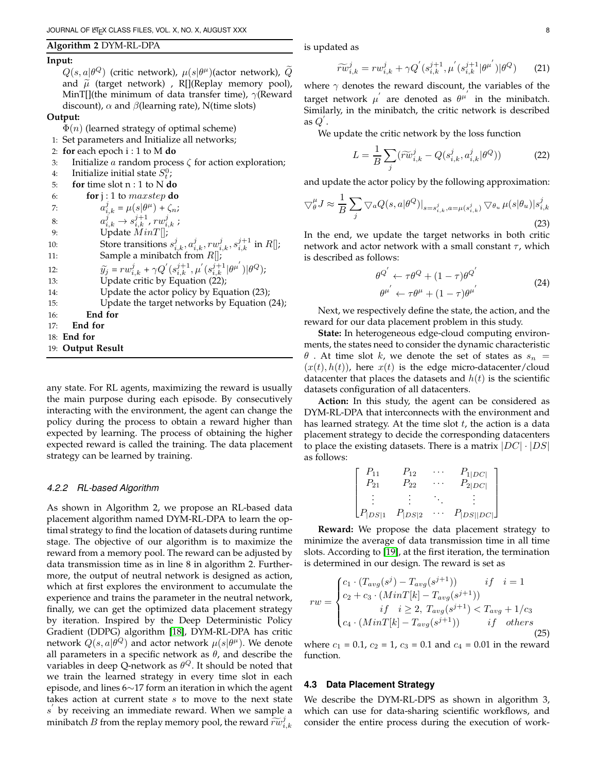# **Algorithm 2** DYM-RL-DPA

#### **Input:**

 $Q(s,a|\theta^{Q})$  (critic network),  $\mu(s|\theta^{\mu})$ (actor network),  $\widetilde{Q}$ and  $\tilde{\mu}$  (target network), R[](Replay memory pool), MinT[](the minimum of data transfer time),  $\gamma$ (Reward discount),  $\alpha$  and  $\beta$ (learning rate), N(time slots)

#### **Output:**

 $\Phi(n)$  (learned strategy of optimal scheme)

- 1: Set parameters and Initialize all networks;
- 2: **for** each epoch i : 1 to M **do**
- 3: Initialize a random process  $\zeta$  for action exploration;

 $\zeta_n$ ;

- 4: Initialize initial state  $S_t^0$ ;
- 5: **for** time slot n : 1 to N **do**

| 6: | for $j:1$ to <i>maxstep</i> do |  |
|----|--------------------------------|--|
|----|--------------------------------|--|

| $a_{i,k}^j = \mu(s \theta^{\mu}) +$ |  |
|-------------------------------------|--|
|                                     |  |

- 8:  $a_{i,k}^j \to s_{i,k}^{j+1}$ ,  $rw_{i,k}^j$ ;
- 9: Update  $MinT[]$ ;
- 10: Store transitions  $s_{i,k}^j, a_{i,k}^j, rw_{i,k}^j, s_{i,k}^{j+1}$  in  $R[]$ ;
- 11: Sample a minibatch from  $R[]$ ;
- 12:  $\widetilde{y}_j = rw_{i,k}^j + \gamma Q^{'}(s_{i,k}^{j+1}, \mu^{'}(s_{i,k}^{j+1}|\theta^{\mu^{'}})|\theta^Q);$
- 
- 13: Update critic by Equation (22);
- 14: Update the actor policy by Equation (23);
- 15: Update the target networks by Equation (24);
- 16: **End for**
- 17: **End for**
- 18: **End for**
- 19: **Output Result**

any state. For RL agents, maximizing the reward is usually the main purpose during each episode. By consecutively interacting with the environment, the agent can change the policy during the process to obtain a reward higher than expected by learning. The process of obtaining the higher expected reward is called the training. The data placement strategy can be learned by training.

#### *4.2.2 RL-based Algorithm*

As shown in Algorithm 2, we propose an RL-based data placement algorithm named DYM-RL-DPA to learn the optimal strategy to find the location of datasets during runtime stage. The objective of our algorithm is to maximize the reward from a memory pool. The reward can be adjusted by data transmission time as in line 8 in algorithm 2. Furthermore, the output of neutral network is designed as action, which at first explores the environment to accumulate the experience and trains the parameter in the neutral network, finally, we can get the optimized data placement strategy by iteration. Inspired by the Deep Deterministic Policy Gradient (DDPG) algorithm [\[18\]](#page-11-11), DYM-RL-DPA has critic network  $Q(s,a|\theta^{Q})$  and actor network  $\mu(s|\theta^{\mu}).$  We denote all parameters in a specific network as  $\theta$ , and describe the variables in deep Q-network as  $\theta^Q$ . It should be noted that we train the learned strategy in every time slot in each episode, and lines 6∼17 form an iteration in which the agent takes action at current state  $s$  to move to the next state s by receiving an immediate reward. When we sample a minibatch  $B$  from the replay memory pool, the reward  $\widetilde{r w}_{i,k}^j$ 

is updated as

$$
\widetilde{rw}_{i,k}^j = rw_{i,k}^j + \gamma Q^{'}(s_{i,k}^{j+1}, \mu^{'}(s_{i,k}^{j+1}|\theta^{\mu^{'}})|\theta^Q)
$$
 (21)

where  $\gamma$  denotes the reward discount, the variables of the target network  $\mu'$  are denoted as  $\theta^{\mu'}$  in the minibatch. Similarly, in the minibatch, the critic network is described as  $Q^{'}$ .

We update the critic network by the loss function

$$
L = \frac{1}{B} \sum_{j} (\widetilde{rw}_{i,k}^{j} - Q(s_{i,k}^{j}, a_{i,k}^{j} | \theta^{Q}))
$$
 (22)

and update the actor policy by the following approximation:

$$
\nabla_{\theta}^{\mu} J \approx \frac{1}{B} \sum_{j} \nabla_{a} Q(s, a | \theta^{Q})|_{s=s_{i,k}^{j}, a=\mu(s_{i,k}^{j})} \nabla_{\theta_{u}} \mu(s | \theta_{u}) | s_{i,k}^{j}
$$
\n(23)

In the end, we update the target networks in both critic network and actor network with a small constant  $\tau$ , which is described as follows:

$$
\theta^{Q'} \leftarrow \tau \theta^{Q} + (1 - \tau) \theta^{Q'}
$$
  
\n
$$
\theta^{\mu'} \leftarrow \tau \theta^{\mu} + (1 - \tau) \theta^{\mu'}
$$
\n(24)

Next, we respectively define the state, the action, and the reward for our data placement problem in this study.

**State:** In heterogeneous edge-cloud computing environments, the states need to consider the dynamic characteristic  $\theta$ . At time slot k, we denote the set of states as  $s_n =$  $(x(t), h(t))$ , here  $x(t)$  is the edge micro-datacenter/cloud datacenter that places the datasets and  $h(t)$  is the scientific datasets configuration of all datacenters.

**Action:** In this study, the agent can be considered as DYM-RL-DPA that interconnects with the environment and has learned strategy. At the time slot  $t$ , the action is a data placement strategy to decide the corresponding datacenters to place the existing datasets. There is a matrix  $|DC| \cdot |DS|$ as follows:

$$
\begin{bmatrix} P_{11} & P_{12} & \cdots & P_{1|DC|} \\ P_{21} & P_{22} & \cdots & P_{2|DC|} \\ \vdots & \vdots & \ddots & \vdots \\ P_{|DS|1} & P_{|DS|2} & \cdots & P_{|DS||DC|} \end{bmatrix}
$$

**Reward:** We propose the data placement strategy to minimize the average of data transmission time in all time slots. According to [\[19\]](#page-11-12), at the first iteration, the termination is determined in our design. The reward is set as

$$
rw = \begin{cases} c_1 \cdot (T_{avg}(s^j) - T_{avg}(s^{j+1})) & \text{if } i = 1\\ c_2 + c_3 \cdot (MinT[k] - T_{avg}(s^{j+1}))\\ & \text{if } i \ge 2, \ T_{avg}(s^{j+1}) < T_{avg} + 1/c_3\\ c_4 \cdot (MinT[k] - T_{avg}(s^{j+1})) & \text{if } others \end{cases} \tag{25}
$$

where  $c_1 = 0.1$ ,  $c_2 = 1$ ,  $c_3 = 0.1$  and  $c_4 = 0.01$  in the reward function.

#### **4.3 Data Placement Strategy**

We describe the DYM-RL-DPS as shown in algorithm 3, which can use for data-sharing scientific workflows, and consider the entire process during the execution of work-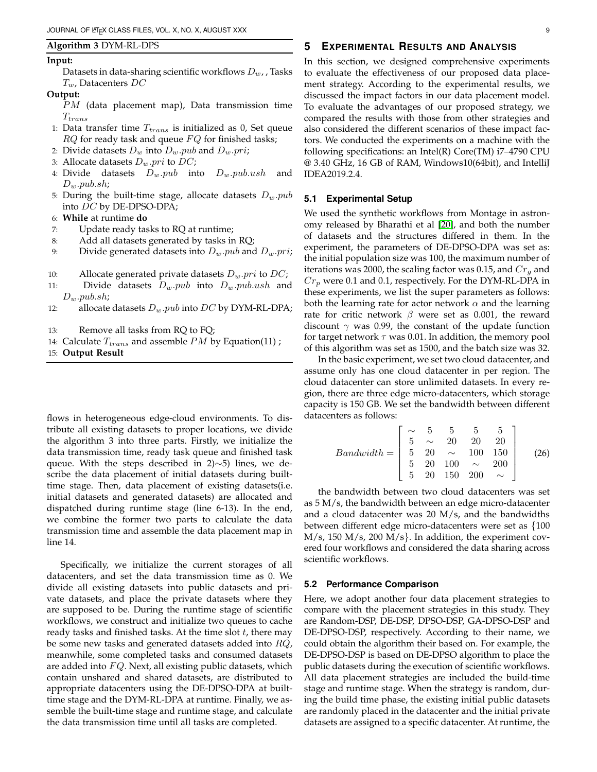#### **Algorithm 3** DYM-RL-DPS

#### **Input:**

Datasets in data-sharing scientific workflows  $D_{w}$ , Tasks  $T_w$ , Datacenters DC

# **Output:**

- PM (data placement map), Data transmission time  $T_{trans}$
- 1: Data transfer time  $T_{trans}$  is initialized as 0, Set queue  $RQ$  for ready task and queue  $FQ$  for finished tasks;
- 2: Divide datasets  $D_w$  into  $D_w$ .pub and  $D_w$ .pri;
- 3: Allocate datasets  $D_w$  *pri* to  $DC$ ;
- 4: Divide datasets  $D_w$ .pub into  $D_w$ .pub.ush and  $D_w$ .pub.sh;
- 5: During the built-time stage, allocate datasets  $D_w$ . $pub$ into DC by DE-DPSO-DPA;
- 6: **While** at runtime **do**
- 7: Update ready tasks to RQ at runtime;
- 8: Add all datasets generated by tasks in RQ;
- 9: Divide generated datasets into  $D_w$ . *pub* and  $D_w$ . *pri*;
- 10: Allocate generated private datasets  $D_w$ . *pri* to  $DC$ ;
- 11: Divide datasets  $D_w$ . pub into  $D_w$ . pub. ush and  $D_w$ .pub.sh;
- 12: allocate datasets  $D_w$ .pub into DC by DYM-RL-DPA;
- 13: Remove all tasks from RQ to FQ;
- 14: Calculate  $T_{trans}$  and assemble PM by Equation(11) ;
- 15: **Output Result**

flows in heterogeneous edge-cloud environments. To distribute all existing datasets to proper locations, we divide the algorithm 3 into three parts. Firstly, we initialize the data transmission time, ready task queue and finished task queue. With the steps described in 2)∼5) lines, we describe the data placement of initial datasets during builttime stage. Then, data placement of existing datasets(i.e. initial datasets and generated datasets) are allocated and dispatched during runtime stage (line 6-13). In the end, we combine the former two parts to calculate the data transmission time and assemble the data placement map in line 14.

Specifically, we initialize the current storages of all datacenters, and set the data transmission time as 0. We divide all existing datasets into public datasets and private datasets, and place the private datasets where they are supposed to be. During the runtime stage of scientific workflows, we construct and initialize two queues to cache ready tasks and finished tasks. At the time slot  $t$ , there may be some new tasks and generated datasets added into RQ, meanwhile, some completed tasks and consumed datasets are added into  $FQ$ . Next, all existing public datasets, which contain unshared and shared datasets, are distributed to appropriate datacenters using the DE-DPSO-DPA at builttime stage and the DYM-RL-DPA at runtime. Finally, we assemble the built-time stage and runtime stage, and calculate the data transmission time until all tasks are completed.

# **5 EXPERIMENTAL RESULTS AND ANALYSIS**

In this section, we designed comprehensive experiments to evaluate the effectiveness of our proposed data placement strategy. According to the experimental results, we discussed the impact factors in our data placement model. To evaluate the advantages of our proposed strategy, we compared the results with those from other strategies and also considered the different scenarios of these impact factors. We conducted the experiments on a machine with the following specifications: an Intel(R) Core(TM) i7–4790 CPU @ 3.40 GHz, 16 GB of RAM, Windows10(64bit), and IntelliJ IDEA2019.2.4.

#### **5.1 Experimental Setup**

We used the synthetic workflows from Montage in astronomy released by Bharathi et al [\[20\]](#page-11-13), and both the number of datasets and the structures differed in them. In the experiment, the parameters of DE-DPSO-DPA was set as: the initial population size was 100, the maximum number of iterations was 2000, the scaling factor was 0.15, and  $Cr_a$  and  $Cr_p$  were 0.1 and 0.1, respectively. For the DYM-RL-DPA in these experiments, we list the super parameters as follows: both the learning rate for actor network  $\alpha$  and the learning rate for critic network  $\beta$  were set as 0.001, the reward discount  $\gamma$  was 0.99, the constant of the update function for target network  $\tau$  was 0.01. In addition, the memory pool of this algorithm was set as 1500, and the batch size was 32.

In the basic experiment, we set two cloud datacenter, and assume only has one cloud datacenter in per region. The cloud datacenter can store unlimited datasets. In every region, there are three edge micro-datacenters, which storage capacity is 150 GB. We set the bandwidth between different datacenters as follows:

$$
Bandwidth = \begin{bmatrix} \sim & 5 & 5 & 5 & 5 \\ 5 & \sim & 20 & 20 & 20 \\ 5 & 20 & \sim & 100 & 150 \\ 5 & 20 & 100 & \sim & 200 \\ 5 & 20 & 150 & 200 & \sim \end{bmatrix}
$$
 (26)

the bandwidth between two cloud datacenters was set as 5 M/s, the bandwidth between an edge micro-datacenter and a cloud datacenter was 20 M/s, and the bandwidths between different edge micro-datacenters were set as {100  $M/s$ , 150 M/s, 200 M/s}. In addition, the experiment covered four workflows and considered the data sharing across scientific workflows.

#### **5.2 Performance Comparison**

Here, we adopt another four data placement strategies to compare with the placement strategies in this study. They are Random-DSP, DE-DSP, DPSO-DSP, GA-DPSO-DSP and DE-DPSO-DSP, respectively. According to their name, we could obtain the algorithm their based on. For example, the DE-DPSO-DSP is based on DE-DPSO algorithm to place the public datasets during the execution of scientific workflows. All data placement strategies are included the build-time stage and runtime stage. When the strategy is random, during the build time phase, the existing initial public datasets are randomly placed in the datacenter and the initial private datasets are assigned to a specific datacenter. At runtime, the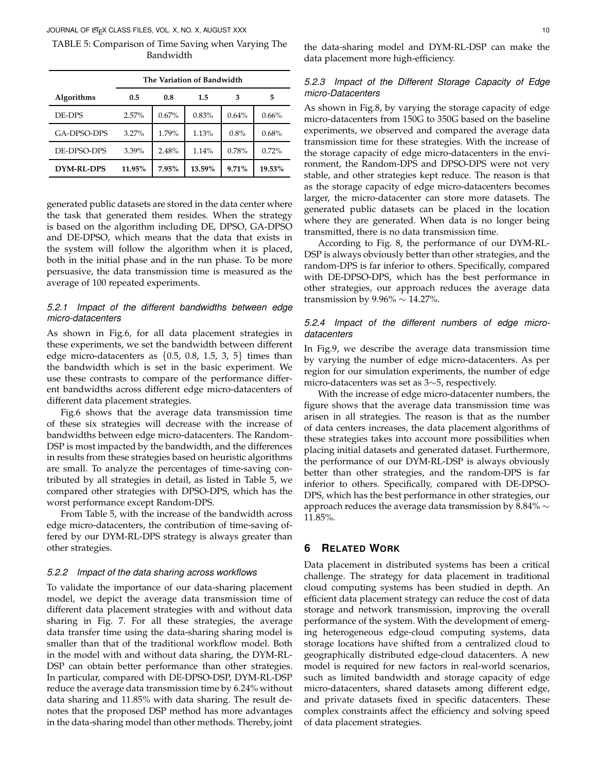JOURNAL OF LATEX CLASS FILES, VOL. X, NO. X, AUGUST XXX 10

TABLE 5: Comparison of Time Saving when Varying The Bandwidth

|                   | The Variation of Bandwidth |          |        |          |        |  |  |  |  |
|-------------------|----------------------------|----------|--------|----------|--------|--|--|--|--|
| <b>Algorithms</b> | 0.5                        | 0.8      | 1.5    | 3        | 5      |  |  |  |  |
| DE-DPS            | 2.57%                      | $0.67\%$ | 0.83%  | 0.64%    | 0.66%  |  |  |  |  |
| GA-DPSO-DPS       | $3.27\%$                   | 1.79%    | 1.13%  | 0.8%     | 0.68%  |  |  |  |  |
| DE-DPSO-DPS       | $3.39\%$                   | 2.48%    | 1.14%  | 0.78%    | 0.72%  |  |  |  |  |
| DYM-RL-DPS        | 11.95%                     | 7.95%    | 13.59% | $9.71\%$ | 19.53% |  |  |  |  |

generated public datasets are stored in the data center where the task that generated them resides. When the strategy is based on the algorithm including DE, DPSO, GA-DPSO and DE-DPSO, which means that the data that exists in the system will follow the algorithm when it is placed, both in the initial phase and in the run phase. To be more persuasive, the data transmission time is measured as the average of 100 repeated experiments.

# *5.2.1 Impact of the different bandwidths between edge micro-datacenters*

As shown in Fig.6, for all data placement strategies in these experiments, we set the bandwidth between different edge micro-datacenters as  $\{0.5, 0.8, 1.5, 3, 5\}$  times than the bandwidth which is set in the basic experiment. We use these contrasts to compare of the performance different bandwidths across different edge micro-datacenters of different data placement strategies.

Fig.6 shows that the average data transmission time of these six strategies will decrease with the increase of bandwidths between edge micro-datacenters. The Random-DSP is most impacted by the bandwidth, and the differences in results from these strategies based on heuristic algorithms are small. To analyze the percentages of time-saving contributed by all strategies in detail, as listed in Table 5, we compared other strategies with DPSO-DPS, which has the worst performance except Random-DPS.

From Table 5, with the increase of the bandwidth across edge micro-datacenters, the contribution of time-saving offered by our DYM-RL-DPS strategy is always greater than other strategies.

# *5.2.2 Impact of the data sharing across workflows*

To validate the importance of our data-sharing placement model, we depict the average data transmission time of different data placement strategies with and without data sharing in Fig. 7. For all these strategies, the average data transfer time using the data-sharing sharing model is smaller than that of the traditional workflow model. Both in the model with and without data sharing, the DYM-RL-DSP can obtain better performance than other strategies. In particular, compared with DE-DPSO-DSP, DYM-RL-DSP reduce the average data transmission time by 6.24% without data sharing and 11.85% with data sharing. The result denotes that the proposed DSP method has more advantages in the data-sharing model than other methods. Thereby, joint the data-sharing model and DYM-RL-DSP can make the data placement more high-efficiency.

# *5.2.3 Impact of the Different Storage Capacity of Edge micro-Datacenters*

As shown in Fig.8, by varying the storage capacity of edge micro-datacenters from 150G to 350G based on the baseline experiments, we observed and compared the average data transmission time for these strategies. With the increase of the storage capacity of edge micro-datacenters in the environment, the Random-DPS and DPSO-DPS were not very stable, and other strategies kept reduce. The reason is that as the storage capacity of edge micro-datacenters becomes larger, the micro-datacenter can store more datasets. The generated public datasets can be placed in the location where they are generated. When data is no longer being transmitted, there is no data transmission time.

According to Fig. 8, the performance of our DYM-RL-DSP is always obviously better than other strategies, and the random-DPS is far inferior to others. Specifically, compared with DE-DPSO-DPS, which has the best performance in other strategies, our approach reduces the average data transmission by 9.96%  $\sim$  14.27%.

# *5.2.4 Impact of the different numbers of edge microdatacenters*

In Fig.9, we describe the average data transmission time by varying the number of edge micro-datacenters. As per region for our simulation experiments, the number of edge micro-datacenters was set as 3∼5, respectively.

With the increase of edge micro-datacenter numbers, the figure shows that the average data transmission time was arisen in all strategies. The reason is that as the number of data centers increases, the data placement algorithms of these strategies takes into account more possibilities when placing initial datasets and generated dataset. Furthermore, the performance of our DYM-RL-DSP is always obviously better than other strategies, and the random-DPS is far inferior to others. Specifically, compared with DE-DPSO-DPS, which has the best performance in other strategies, our approach reduces the average data transmission by 8.84%  $\sim$ 11.85%.

# **6 RELATED WORK**

Data placement in distributed systems has been a critical challenge. The strategy for data placement in traditional cloud computing systems has been studied in depth. An efficient data placement strategy can reduce the cost of data storage and network transmission, improving the overall performance of the system. With the development of emerging heterogeneous edge-cloud computing systems, data storage locations have shifted from a centralized cloud to geographically distributed edge-cloud datacenters. A new model is required for new factors in real-world scenarios, such as limited bandwidth and storage capacity of edge micro-datacenters, shared datasets among different edge, and private datasets fixed in specific datacenters. These complex constraints affect the efficiency and solving speed of data placement strategies.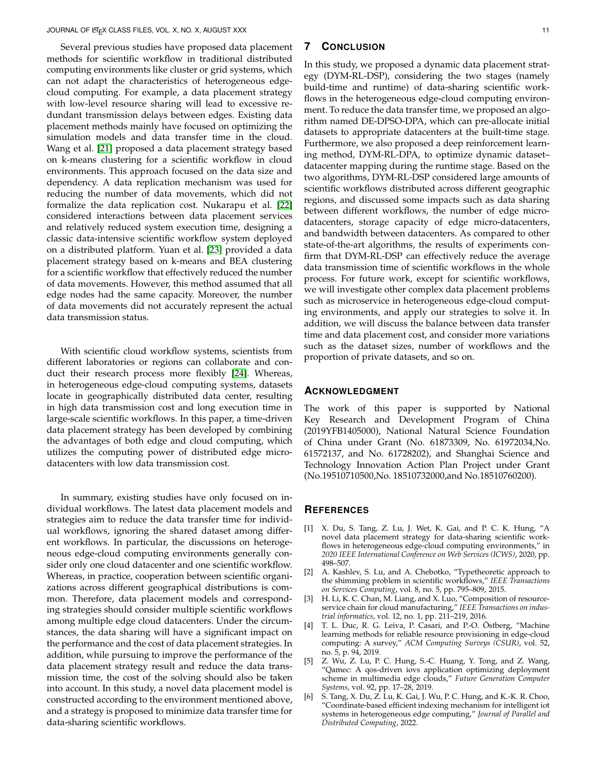Several previous studies have proposed data placement methods for scientific workflow in traditional distributed computing environments like cluster or grid systems, which can not adapt the characteristics of heterogeneous edgecloud computing. For example, a data placement strategy with low-level resource sharing will lead to excessive redundant transmission delays between edges. Existing data placement methods mainly have focused on optimizing the simulation models and data transfer time in the cloud. Wang et al. [\[21\]](#page-11-14) proposed a data placement strategy based on k-means clustering for a scientific workflow in cloud environments. This approach focused on the data size and dependency. A data replication mechanism was used for reducing the number of data movements, which did not formalize the data replication cost. Nukarapu et al. [\[22\]](#page-11-15) considered interactions between data placement services and relatively reduced system execution time, designing a classic data-intensive scientific workflow system deployed on a distributed platform. Yuan et al. [\[23\]](#page-11-16) provided a data placement strategy based on k-means and BEA clustering for a scientific workflow that effectively reduced the number of data movements. However, this method assumed that all edge nodes had the same capacity. Moreover, the number of data movements did not accurately represent the actual data transmission status.

With scientific cloud workflow systems, scientists from different laboratories or regions can collaborate and conduct their research process more flexibly [\[24\]](#page-11-17). Whereas, in heterogeneous edge-cloud computing systems, datasets locate in geographically distributed data center, resulting in high data transmission cost and long execution time in large-scale scientific workflows. In this paper, a time-driven data placement strategy has been developed by combining the advantages of both edge and cloud computing, which utilizes the computing power of distributed edge microdatacenters with low data transmission cost.

In summary, existing studies have only focused on individual workflows. The latest data placement models and strategies aim to reduce the data transfer time for individual workflows, ignoring the shared dataset among different workflows. In particular, the discussions on heterogeneous edge-cloud computing environments generally consider only one cloud datacenter and one scientific workflow. Whereas, in practice, cooperation between scientific organizations across different geographical distributions is common. Therefore, data placement models and corresponding strategies should consider multiple scientific workflows among multiple edge cloud datacenters. Under the circumstances, the data sharing will have a significant impact on the performance and the cost of data placement strategies. In addition, while pursuing to improve the performance of the data placement strategy result and reduce the data transmission time, the cost of the solving should also be taken into account. In this study, a novel data placement model is constructed according to the environment mentioned above, and a strategy is proposed to minimize data transfer time for data-sharing scientific workflows.

# **7 CONCLUSION**

In this study, we proposed a dynamic data placement strategy (DYM-RL-DSP), considering the two stages (namely build-time and runtime) of data-sharing scientific workflows in the heterogeneous edge-cloud computing environment. To reduce the data transfer time, we proposed an algorithm named DE-DPSO-DPA, which can pre-allocate initial datasets to appropriate datacenters at the built-time stage. Furthermore, we also proposed a deep reinforcement learning method, DYM-RL-DPA, to optimize dynamic dataset– datacenter mapping during the runtime stage. Based on the two algorithms, DYM-RL-DSP considered large amounts of scientific workflows distributed across different geographic regions, and discussed some impacts such as data sharing between different workflows, the number of edge microdatacenters, storage capacity of edge micro-datacenters, and bandwidth between datacenters. As compared to other state-of-the-art algorithms, the results of experiments confirm that DYM-RL-DSP can effectively reduce the average data transmission time of scientific workflows in the whole process. For future work, except for scientific workflows, we will investigate other complex data placement problems such as microservice in heterogeneous edge-cloud computing environments, and apply our strategies to solve it. In addition, we will discuss the balance between data transfer time and data placement cost, and consider more variations such as the dataset sizes, number of workflows and the proportion of private datasets, and so on.

#### **ACKNOWLEDGMENT**

The work of this paper is supported by National Key Research and Development Program of China (2019YFB1405000), National Natural Science Foundation of China under Grant (No. 61873309, No. 61972034,No. 61572137, and No. 61728202), and Shanghai Science and Technology Innovation Action Plan Project under Grant (No.19510710500,No. 18510732000,and No.18510760200).

#### **REFERENCES**

- <span id="page-10-2"></span>[1] X. Du, S. Tang, Z. Lu, J. Wet, K. Gai, and P. C. K. Hung, "A novel data placement strategy for data-sharing scientific workflows in heterogeneous edge-cloud computing environments," in *2020 IEEE International Conference on Web Services (ICWS)*, 2020, pp. 498–507.
- <span id="page-10-0"></span>[2] A. Kashlev, S. Lu, and A. Chebotko, "Typetheoretic approach to the shimming problem in scientific workflows," *IEEE Transactions on Services Computing*, vol. 8, no. 5, pp. 795–809, 2015.
- <span id="page-10-1"></span>[3] H. Li, K. C. Chan, M. Liang, and X. Luo, "Composition of resourceservice chain for cloud manufacturing," *IEEE Transactions on industrial informatics*, vol. 12, no. 1, pp. 211–219, 2016.
- <span id="page-10-3"></span>[4] T. L. Duc, R. G. Leiva, P. Casari, and P.-O. Östberg, "Machine learning methods for reliable resource provisioning in edge-cloud computing: A survey," *ACM Computing Surveys (CSUR)*, vol. 52, no. 5, p. 94, 2019.
- <span id="page-10-4"></span>[5] Z. Wu, Z. Lu, P. C. Hung, S.-C. Huang, Y. Tong, and Z. Wang, "Qamec: A qos-driven iovs application optimizing deployment scheme in multimedia edge clouds," *Future Generation Computer Systems*, vol. 92, pp. 17–28, 2019.
- <span id="page-10-5"></span>[6] S. Tang, X. Du, Z. Lu, K. Gai, J. Wu, P. C. Hung, and K.-K. R. Choo, "Coordinate-based efficient indexing mechanism for intelligent iot systems in heterogeneous edge computing," *Journal of Parallel and Distributed Computing*, 2022.